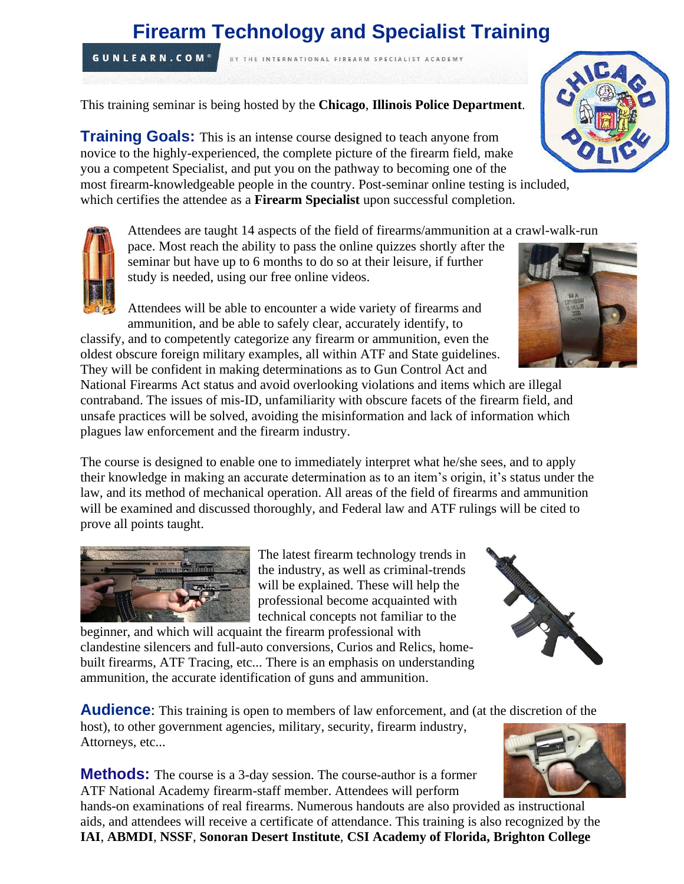# **Firearm Technology and Specialist Training**

BY THE INTERNATIONAL FIREARM SPECIALIST ACADEMY

This training seminar is being hosted by the **Chicago**, **Illinois Police Department**.

**Training Goals:** This is an intense course designed to teach anyone from novice to the highly-experienced, the complete picture of the firearm field, make you a competent Specialist, and put you on the pathway to becoming one of the most firearm-knowledgeable people in the country. Post-seminar online testing is included,

which certifies the attendee as a **Firearm Specialist** upon successful completion.

Attendees are taught 14 aspects of the field of firearms/ammunition at a crawl-walk-run

pace. Most reach the ability to pass the online quizzes shortly after the seminar but have up to 6 months to do so at their leisure, if further study is needed, using our free online videos.

Attendees will be able to encounter a wide variety of firearms and ammunition, and be able to safely clear, accurately identify, to

classify, and to competently categorize any firearm or ammunition, even the oldest obscure foreign military examples, all within ATF and State guidelines. They will be confident in making determinations as to Gun Control Act and National Firearms Act status and avoid overlooking violations and items which are illegal

contraband. The issues of mis-ID, unfamiliarity with obscure facets of the firearm field, and unsafe practices will be solved, avoiding the misinformation and lack of information which plagues law enforcement and the firearm industry.

The course is designed to enable one to immediately interpret what he/she sees, and to apply their knowledge in making an accurate determination as to an item's origin, it's status under the law, and its method of mechanical operation. All areas of the field of firearms and ammunition will be examined and discussed thoroughly, and Federal law and ATF rulings will be cited to prove all points taught.

> The latest firearm technology trends in the industry, as well as criminal-trends will be explained. These will help the professional become acquainted with technical concepts not familiar to the

beginner, and which will acquaint the firearm professional with clandestine silencers and full-auto conversions, Curios and Relics, homebuilt firearms, ATF Tracing, etc... There is an emphasis on understanding ammunition, the accurate identification of guns and ammunition.

**Audience:** This training is open to members of law enforcement, and (at the discretion of the

host), to other government agencies, military, security, firearm industry, Attorneys, etc...

**Methods:** The course is a 3-day session. The course-author is a former ATF National Academy firearm-staff member. Attendees will perform

hands-on examinations of real firearms. Numerous handouts are also provided as instructional aids, and attendees will receive a certificate of attendance. This training is also recognized by the **IAI**, **ABMDI**, **NSSF**, **Sonoran Desert Institute**, **CSI Academy of Florida, Brighton College**